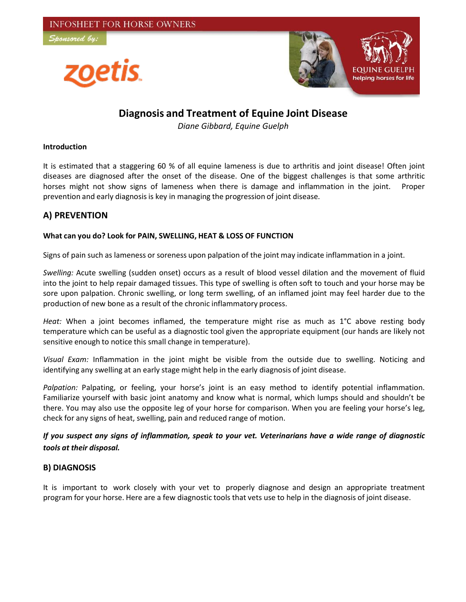



# **Diagnosis and Treatment of Equine Joint Disease**

*Diane Gibbard, Equine Guelph*

#### **Introduction**

It is estimated that a staggering 60 % of all equine lameness is due to arthritis and joint disease! Often joint diseases are diagnosed after the onset of the disease. One of the biggest challenges is that some arthritic horses might not show signs of lameness when there is damage and inflammation in the joint. Proper prevention and early diagnosis is key in managing the progression of joint disease.

# **A) PREVENTION**

## **What can you do? Look for PAIN, SWELLING, HEAT & LOSS OF FUNCTION**

Signs of pain such as lameness or soreness upon palpation of the joint may indicate inflammation in a joint.

*Swelling:* Acute swelling (sudden onset) occurs as a result of blood vessel dilation and the movement of fluid into the joint to help repair damaged tissues. This type of swelling is often soft to touch and your horse may be sore upon palpation. Chronic swelling, or long term swelling, of an inflamed joint may feel harder due to the production of new bone as a result of the chronic inflammatory process.

*Heat:* When a joint becomes inflamed, the temperature might rise as much as 1°C above resting body temperature which can be useful as a diagnostic tool given the appropriate equipment (our hands are likely not sensitive enough to notice this small change in temperature).

*Visual Exam:* Inflammation in the joint might be visible from the outside due to swelling. Noticing and identifying any swelling at an early stage might help in the early diagnosis of joint disease.

*Palpation:* Palpating, or feeling, your horse's joint is an easy method to identify potential inflammation. Familiarize yourself with basic joint anatomy and know what is normal, which lumps should and shouldn't be there. You may also use the opposite leg of your horse for comparison. When you are feeling your horse's leg, check for any signs of heat, swelling, pain and reduced range of motion.

# If you suspect any signs of inflammation, speak to your vet. Veterinarians have a wide range of diagnostic *tools at their disposal.*

# **B) DIAGNOSIS**

It is important to work closely with your vet to properly diagnose and design an appropriate treatment program for your horse. Here are a few diagnostic tools that vets use to help in the diagnosis of joint disease.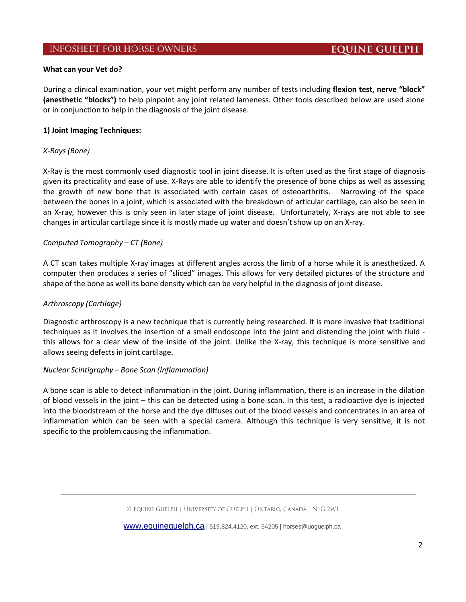## **INFOSHEET FOR HORSE OWNERS**

#### **What can your Vet do?**

During a clinical examination, your vet might perform any number of tests including **flexion test, nerve "block" (anesthetic "blocks")** to help pinpoint any joint related lameness. Other tools described below are used alone or in conjunction to help in the diagnosis of the joint disease.

#### **1) Joint Imaging Techniques:**

#### *X‐Rays (Bone)*

X‐Ray is the most commonly used diagnostic tool in joint disease. It is often used as the first stage of diagnosis given its practicality and ease of use. X‐Rays are able to identify the presence of bone chips as well as assessing the growth of new bone that is associated with certain cases of osteoarthritis. Narrowing of the space between the bones in a joint, which is associated with the breakdown of articular cartilage, can also be seen in an X-ray, however this is only seen in later stage of joint disease. Unfortunately, X-rays are not able to see changes in articular cartilage since it is mostly made up water and doesn't show up on an X‐ray.

#### *Computed Tomography – CT (Bone)*

A CT scan takes multiple X‐ray images at different angles across the limb of a horse while it is anesthetized. A computer then produces a series of "sliced" images. This allows for very detailed pictures of the structure and shape of the bone as well its bone density which can be very helpful in the diagnosis of joint disease.

#### *Arthroscopy (Cartilage)*

Diagnostic arthroscopy is a new technique that is currently being researched. It is more invasive that traditional techniques as it involves the insertion of a small endoscope into the joint and distending the joint with fluid ‐ this allows for a clear view of the inside of the joint. Unlike the X‐ray, this technique is more sensitive and allows seeing defects in joint cartilage.

#### *Nuclear Scintigraphy – Bone Scan (Inflammation)*

A bone scan is able to detect inflammation in the joint. During inflammation, there is an increase in the dilation of blood vessels in the joint – this can be detected using a bone scan. In this test, a radioactive dye is injected into the bloodstream of the horse and the dye diffuses out of the blood vessels and concentrates in an area of inflammation which can be seen with a special camera. Although this technique is very sensitive, it is not specific to the problem causing the inflammation.

www.equineguelph.ca | 519.824.4120, ext. 54205 | horses@uoguelph.ca